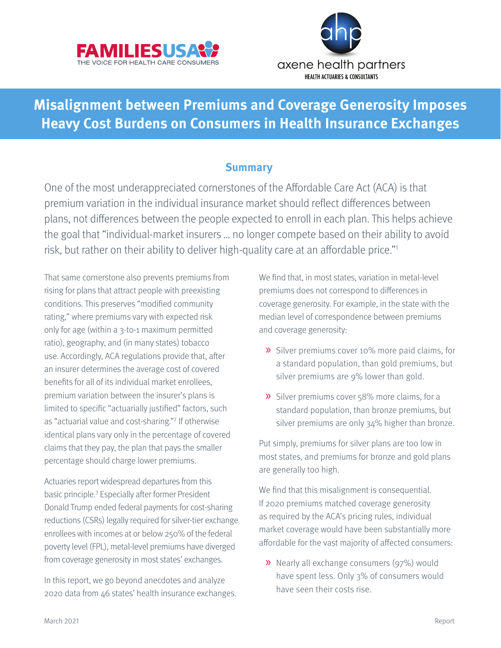<span id="page-0-0"></span>



# **Misalignment between Premiums and Coverage Generosity Imposes Heavy Cost Burdens on Consumers in Health Insurance Exchanges**

### **Summary**

One of the most underappreciated cornerstones of the Affordable Care Act (ACA) is that premium variation in the individual insurance market should reflect differences between plans, not differences between the people expected to enroll in each plan. This helps achieve the goal that "individual-market insurers … no longer compete based on their ability to avoid risk, but rather on their ability to deliver high-quality care at an affordable price."[1](#page-17-0)

That same cornerstone also prevents premiums from rising for plans that attract people with preexisting conditions. This preserves "modified community rating," where premiums vary with expected risk only for age (within a 3-to-1 maximum permitted ratio), geography, and (in many states) tobacco use. Accordingly, ACA regulations provide that, after an insurer determines the average cost of covered benefits for all of its individual market enrollees, premium variation between the insurer's plans is limited to specific "actuarially justified" factors, such as "actuarial value and cost-sharing.["2](#page-17-0) If otherwise identical plans vary only in the percentage of covered claims that they pay, the plan that pays the smaller percentage should charge lower premiums.

Actuaries report widespread departures from this basic principle.<sup>[3](#page-17-0)</sup> Especially after former President Donald Trump ended federal payments for cost-sharing reductions (CSRs) legally required for silver-tier exchange enrollees with incomes at or below 250% of the federal poverty level (FPL), metal-level premiums have diverged from coverage generosity in most states' exchanges.

In this report, we go beyond anecdotes and analyze 2020 data from 46 states' health insurance exchanges. We find that, in most states, variation in metal-level premiums does not correspond to differences in coverage generosity. For example, in the state with the median level of correspondence between premiums and coverage generosity:

- » Silver premiums cover 10% more paid claims, for a standard population, than gold premiums, but silver premiums are 9% lower than gold.
- » Silver premiums cover 58% more claims, for a standard population, than bronze premiums, but silver premiums are only 34% higher than bronze.

Put simply, premiums for silver plans are too low in most states, and premiums for bronze and gold plans are generally too high.

We find that this misalignment is consequential. If 2020 premiums matched coverage generosity as required by the ACA's pricing rules, individual market coverage would have been substantially more affordable for the vast majority of affected consumers:

» Nearly all exchange consumers (97%) would have spent less. Only 3% of consumers would have seen their costs rise.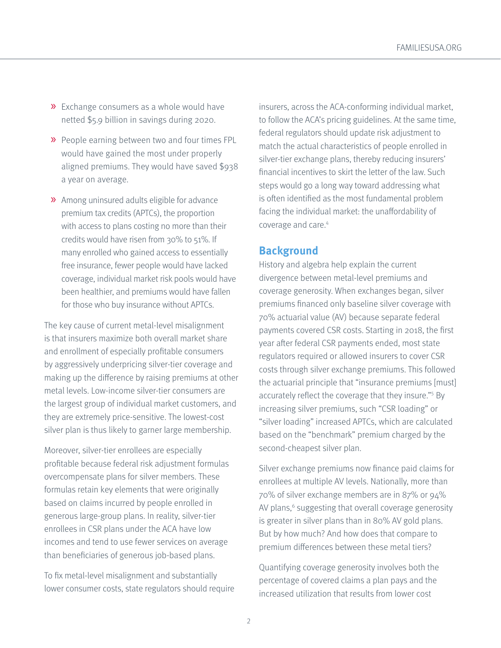- <span id="page-1-0"></span>» Exchange consumers as a whole would have netted \$5.9 billion in savings during 2020.
- » People earning between two and four times FPL would have gained the most under properly aligned premiums. They would have saved \$938 a year on average.
- » Among uninsured adults eligible for advance premium tax credits (APTCs), the proportion with access to plans costing no more than their credits would have risen from 30% to 51%. If many enrolled who gained access to essentially free insurance, fewer people would have lacked coverage, individual market risk pools would have been healthier, and premiums would have fallen for those who buy insurance without APTCs.

The key cause of current metal-level misalignment is that insurers maximize both overall market share and enrollment of especially profitable consumers by aggressively underpricing silver-tier coverage and making up the difference by raising premiums at other metal levels. Low-income silver-tier consumers are the largest group of individual market customers, and they are extremely price-sensitive. The lowest-cost silver plan is thus likely to garner large membership.

Moreover, silver-tier enrollees are especially profitable because federal risk adjustment formulas overcompensate plans for silver members. These formulas retain key elements that were originally based on claims incurred by people enrolled in generous large-group plans. In reality, silver-tier enrollees in CSR plans under the ACA have low incomes and tend to use fewer services on average than beneficiaries of generous job-based plans.

To fix metal-level misalignment and substantially lower consumer costs, state regulators should require insurers, across the ACA-conforming individual market, to follow the ACA's pricing guidelines. At the same time, federal regulators should update risk adjustment to match the actual characteristics of people enrolled in silver-tier exchange plans, thereby reducing insurers' financial incentives to skirt the letter of the law. Such steps would go a long way toward addressing what is often identified as the most fundamental problem facing the individual market: the unaffordability of coverage and care.<sup>[4](#page-17-0)</sup>

### **Background**

History and algebra help explain the current divergence between metal-level premiums and coverage generosity. When exchanges began, silver premiums financed only baseline silver coverage with 70% actuarial value (AV) because separate federal payments covered CSR costs. Starting in 2018, the first year after federal CSR payments ended, most state regulators required or allowed insurers to cover CSR costs through silver exchange premiums. This followed the actuarial principle that "insurance premiums [must] accurately reflect the coverage that they insure.["5](#page-17-0) By increasing silver premiums, such "CSR loading" or "silver loading" increased APTCs, which are calculated based on the "benchmark" premium charged by the second-cheapest silver plan.

Silver exchange premiums now finance paid claims for enrollees at multiple AV levels. Nationally, more than 70% of silver exchange members are in 87% or 94% AV plans,<sup>[6](#page-17-0)</sup> suggesting that overall coverage generosity is greater in silver plans than in 80% AV gold plans. But by how much? And how does that compare to premium differences between these metal tiers?

Quantifying coverage generosity involves both the percentage of covered claims a plan pays and the increased utilization that results from lower cost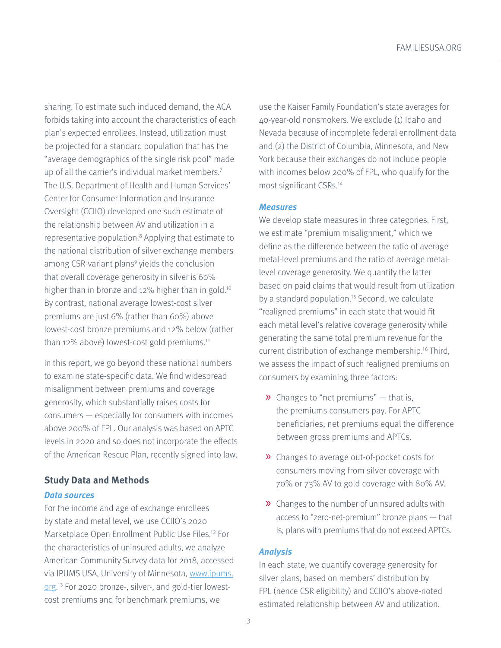<span id="page-2-0"></span>sharing. To estimate such induced demand, the ACA forbids taking into account the characteristics of each plan's expected enrollees. Instead, utilization must be projected for a standard population that has the "average demographics of the single risk pool" made up of all the carrier's individual market members.[7](#page-17-0) The U.S. Department of Health and Human Services' Center for Consumer Information and Insurance Oversight (CCIIO) developed one such estimate of the relationship between AV and utilization in a representative population.<sup>8</sup> Applying that estimate to the national distribution of silver exchange members among CSR-variant plans<sup>9</sup> yields the conclusion that overall coverage generosity in silver is 60% higher than in bronze and 12% higher than in gold.<sup>10</sup> By contrast, national average lowest-cost silver premiums are just 6% (rather than 60%) above lowest-cost bronze premiums and 12% below (rather than 12% above) lowest-cost gold premiums.<sup>11</sup>

In this report, we go beyond these national numbers to examine state-specific data. We find widespread misalignment between premiums and coverage generosity, which substantially raises costs for consumers — especially for consumers with incomes above 200% of FPL. Our analysis was based on APTC levels in 2020 and so does not incorporate the effects of the American Rescue Plan, recently signed into law.

### **Study Data and Methods**

#### **Data sources**

For the income and age of exchange enrollees by state and metal level, we use CCIIO's 2020 Marketplace Open Enrollment Public Use Files.[12](#page-17-0) For the characteristics of uninsured adults, we analyze American Community Survey data for 2018, accessed via IPUMS USA, University of Minnesota, [www.ipums.](http://www.ipums.org) [org](http://www.ipums.org).<sup>13</sup> For 2020 bronze-, silver-, and gold-tier lowestcost premiums and for benchmark premiums, we

use the Kaiser Family Foundation's state averages for 40-year-old nonsmokers. We exclude (1) Idaho and Nevada because of incomplete federal enrollment data and (2) the District of Columbia, Minnesota, and New York because their exchanges do not include people with incomes below 200% of FPL, who qualify for the most significant CSRs[.14](#page-17-0)

#### **Measures**

We develop state measures in three categories. First, we estimate "premium misalignment," which we define as the difference between the ratio of average metal-level premiums and the ratio of average metallevel coverage generosity. We quantify the latter based on paid claims that would result from utilization by a standard population.<sup>15</sup> Second, we calculate "realigned premiums" in each state that would fit each metal level's relative coverage generosity while generating the same total premium revenue for the current distribution of exchange membership.[16](#page-18-0) Third, we assess the impact of such realigned premiums on consumers by examining three factors:

- $\lambda$  Changes to "net premiums" that is, the premiums consumers pay. For APTC beneficiaries, net premiums equal the difference between gross premiums and APTCs.
- » Changes to average out-of-pocket costs for consumers moving from silver coverage with 70% or 73% AV to gold coverage with 80% AV.
- » Changes to the number of uninsured adults with access to "zero-net-premium" bronze plans — that is, plans with premiums that do not exceed APTCs.

#### **Analysis**

In each state, we quantify coverage generosity for silver plans, based on members' distribution by FPL (hence CSR eligibility) and CCIIO's above-noted estimated relationship between AV and utilization.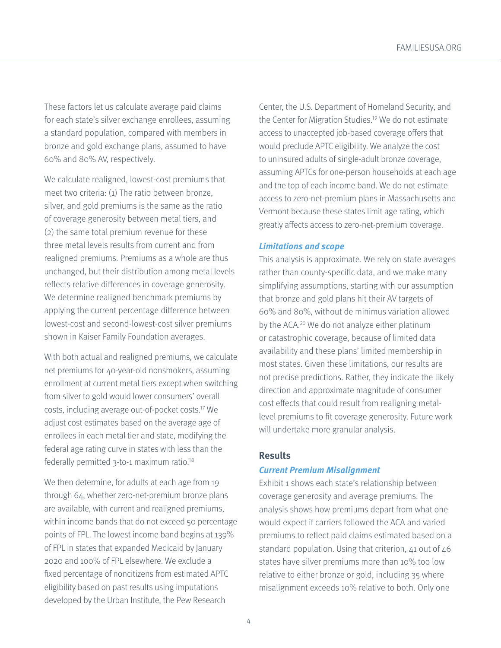<span id="page-3-0"></span>These factors let us calculate average paid claims for each state's silver exchange enrollees, assuming a standard population, compared with members in bronze and gold exchange plans, assumed to have 60% and 80% AV, respectively.

We calculate realigned, lowest-cost premiums that meet two criteria: (1) The ratio between bronze, silver, and gold premiums is the same as the ratio of coverage generosity between metal tiers, and (2) the same total premium revenue for these three metal levels results from current and from realigned premiums. Premiums as a whole are thus unchanged, but their distribution among metal levels reflects relative differences in coverage generosity. We determine realigned benchmark premiums by applying the current percentage difference between lowest-cost and second-lowest-cost silver premiums shown in Kaiser Family Foundation averages.

With both actual and realigned premiums, we calculate net premiums for 40-year-old nonsmokers, assuming enrollment at current metal tiers except when switching from silver to gold would lower consumers' overall costs, including average out-of-pocket costs[.17](#page-18-0) We adjust cost estimates based on the average age of enrollees in each metal tier and state, modifying the federal age rating curve in states with less than the federally permitted 3-to-1 maximum ratio[.18](#page-18-0)

We then determine, for adults at each age from 19 through 64, whether zero-net-premium bronze plans are available, with current and realigned premiums, within income bands that do not exceed 50 percentage points of FPL. The lowest income band begins at 139% of FPL in states that expanded Medicaid by January 2020 and 100% of FPL elsewhere. We exclude a fixed percentage of noncitizens from estimated APTC eligibility based on past results using imputations developed by the Urban Institute, the Pew Research

Center, the U.S. Department of Homeland Security, and the Center for Migration Studies[.19](#page-18-0) We do not estimate access to unaccepted job-based coverage offers that would preclude APTC eligibility. We analyze the cost to uninsured adults of single-adult bronze coverage, assuming APTCs for one-person households at each age and the top of each income band. We do not estimate access to zero-net-premium plans in Massachusetts and Vermont because these states limit age rating, which greatly affects access to zero-net-premium coverage.

#### **Limitations and scope**

This analysis is approximate. We rely on state averages rather than county-specific data, and we make many simplifying assumptions, starting with our assumption that bronze and gold plans hit their AV targets of 60% and 80%, without de minimus variation allowed by the ACA.[20](#page-18-0) We do not analyze either platinum or catastrophic coverage, because of limited data availability and these plans' limited membership in most states. Given these limitations, our results are not precise predictions. Rather, they indicate the likely direction and approximate magnitude of consumer cost effects that could result from realigning metallevel premiums to fit coverage generosity. Future work will undertake more granular analysis.

#### **Results**

#### **Current Premium Misalignment**

Exhibit 1 shows each state's relationship between coverage generosity and average premiums. The analysis shows how premiums depart from what one would expect if carriers followed the ACA and varied premiums to reflect paid claims estimated based on a standard population. Using that criterion, 41 out of 46 states have silver premiums more than 10% too low relative to either bronze or gold, including 35 where misalignment exceeds 10% relative to both. Only one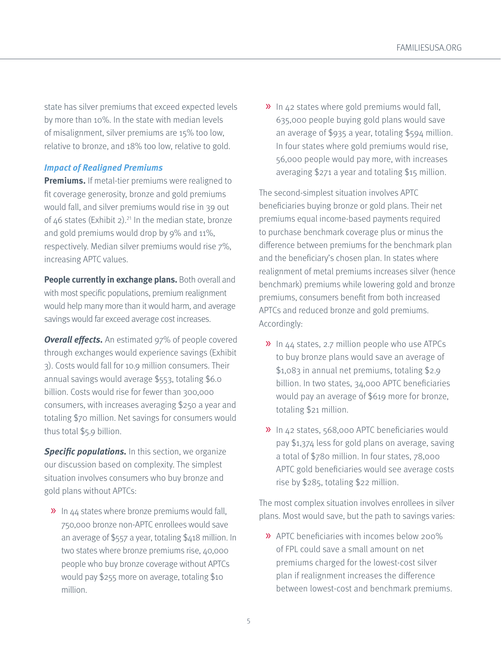<span id="page-4-0"></span>state has silver premiums that exceed expected levels by more than 10%. In the state with median levels of misalignment, silver premiums are 15% too low, relative to bronze, and 18% too low, relative to gold.

#### **Impact of Realigned Premiums**

**Premiums.** If metal-tier premiums were realigned to fit coverage generosity, bronze and gold premiums would fall, and silver premiums would rise in 39 out of  $46$  states (Exhibit 2).<sup>21</sup> In the median state, bronze and gold premiums would drop by 9% and 11%, respectively. Median silver premiums would rise 7%, increasing APTC values.

**People currently in exchange plans.** Both overall and with most specific populations, premium realignment would help many more than it would harm, and average savings would far exceed average cost increases.

**Overall effects.** An estimated 97% of people covered through exchanges would experience savings (Exhibit 3). Costs would fall for 10.9 million consumers. Their annual savings would average \$553, totaling \$6.0 billion. Costs would rise for fewer than 300,000 consumers, with increases averaging \$250 a year and totaling \$70 million. Net savings for consumers would thus total \$5.9 billion.

**Specific populations.** In this section, we organize our discussion based on complexity. The simplest situation involves consumers who buy bronze and gold plans without APTCs:

» In 44 states where bronze premiums would fall, 750,000 bronze non-APTC enrollees would save an average of \$557 a year, totaling \$418 million. In two states where bronze premiums rise, 40,000 people who buy bronze coverage without APTCs would pay \$255 more on average, totaling \$10 million.

» In 42 states where gold premiums would fall, 635,000 people buying gold plans would save an average of \$935 a year, totaling \$594 million. In four states where gold premiums would rise, 56,000 people would pay more, with increases averaging \$271 a year and totaling \$15 million.

The second-simplest situation involves APTC beneficiaries buying bronze or gold plans. Their net premiums equal income-based payments required to purchase benchmark coverage plus or minus the difference between premiums for the benchmark plan and the beneficiary's chosen plan. In states where realignment of metal premiums increases silver (hence benchmark) premiums while lowering gold and bronze premiums, consumers benefit from both increased APTCs and reduced bronze and gold premiums. Accordingly:

- » In 44 states, 2.7 million people who use ATPCs to buy bronze plans would save an average of \$1,083 in annual net premiums, totaling \$2.9 billion. In two states, 34,000 APTC beneficiaries would pay an average of \$619 more for bronze, totaling \$21 million.
- » In 42 states, 568,000 APTC beneficiaries would pay \$1,374 less for gold plans on average, saving a total of \$780 million. In four states, 78,000 APTC gold beneficiaries would see average costs rise by \$285, totaling \$22 million.

The most complex situation involves enrollees in silver plans. Most would save, but the path to savings varies:

» APTC beneficiaries with incomes below 200% of FPL could save a small amount on net premiums charged for the lowest-cost silver plan if realignment increases the difference between lowest-cost and benchmark premiums.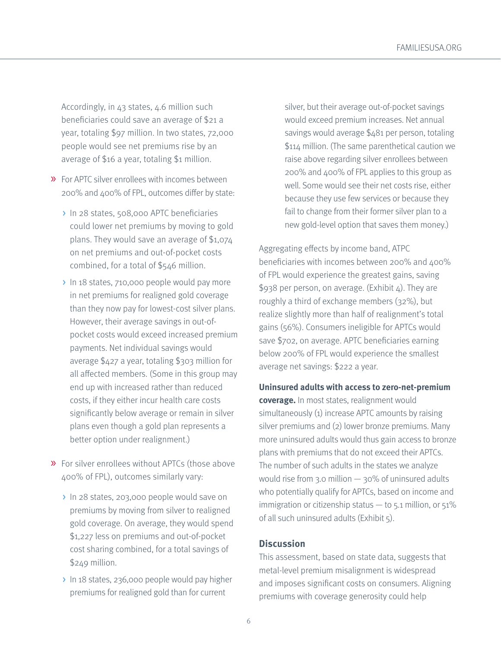Accordingly, in 43 states, 4.6 million such beneficiaries could save an average of \$21 a year, totaling \$97 million. In two states, 72,000 people would see net premiums rise by an average of \$16 a year, totaling \$1 million.

- » For APTC silver enrollees with incomes between 200% and 400% of FPL, outcomes differ by state:
	- > In 28 states, 508,000 APTC beneficiaries could lower net premiums by moving to gold plans. They would save an average of \$1,074 on net premiums and out-of-pocket costs combined, for a total of \$546 million.
	- In 18 states, 710,000 people would pay more in net premiums for realigned gold coverage than they now pay for lowest-cost silver plans. However, their average savings in out-ofpocket costs would exceed increased premium payments. Net individual savings would average \$427 a year, totaling \$303 million for all affected members. (Some in this group may end up with increased rather than reduced costs, if they either incur health care costs significantly below average or remain in silver plans even though a gold plan represents a better option under realignment.)
- » For silver enrollees without APTCs (those above 400% of FPL), outcomes similarly vary:
	- > In 28 states, 203,000 people would save on premiums by moving from silver to realigned gold coverage. On average, they would spend \$1,227 less on premiums and out-of-pocket cost sharing combined, for a total savings of \$249 million.
	- > In 18 states, 236,000 people would pay higher premiums for realigned gold than for current

silver, but their average out-of-pocket savings would exceed premium increases. Net annual savings would average \$481 per person, totaling \$114 million. (The same parenthetical caution we raise above regarding silver enrollees between 200% and 400% of FPL applies to this group as well. Some would see their net costs rise, either because they use few services or because they fail to change from their former silver plan to a new gold-level option that saves them money.)

Aggregating effects by income band, ATPC beneficiaries with incomes between 200% and 400% of FPL would experience the greatest gains, saving \$938 per person, on average. (Exhibit 4). They are roughly a third of exchange members (32%), but realize slightly more than half of realignment's total gains (56%). Consumers ineligible for APTCs would save \$702, on average. APTC beneficiaries earning below 200% of FPL would experience the smallest average net savings: \$222 a year.

**Uninsured adults with access to zero-net-premium coverage.** In most states, realignment would simultaneously (1) increase APTC amounts by raising silver premiums and (2) lower bronze premiums. Many more uninsured adults would thus gain access to bronze plans with premiums that do not exceed their APTCs. The number of such adults in the states we analyze would rise from 3.0 million — 30% of uninsured adults who potentially qualify for APTCs, based on income and immigration or citizenship status  $-$  to 5.1 million, or 51% of all such uninsured adults (Exhibit 5).

#### **Discussion**

This assessment, based on state data, suggests that metal-level premium misalignment is widespread and imposes significant costs on consumers. Aligning premiums with coverage generosity could help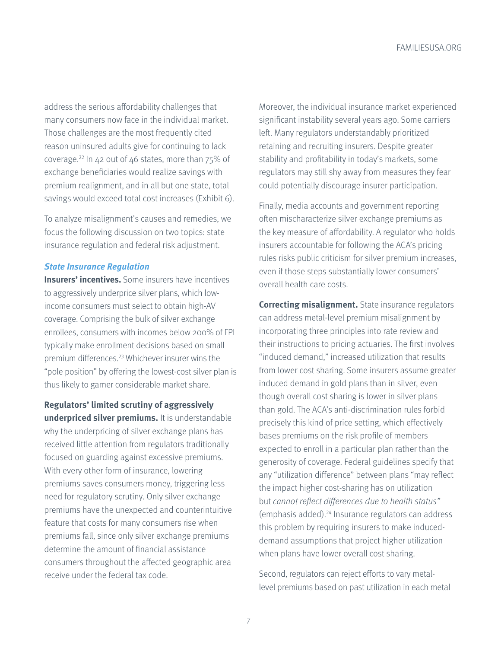<span id="page-6-0"></span>address the serious affordability challenges that many consumers now face in the individual market. Those challenges are the most frequently cited reason uninsured adults give for continuing to lack coverage.<sup>22</sup> In  $42$  out of  $46$  states, more than  $75\%$  of exchange beneficiaries would realize savings with premium realignment, and in all but one state, total savings would exceed total cost increases (Exhibit 6).

To analyze misalignment's causes and remedies, we focus the following discussion on two topics: state insurance regulation and federal risk adjustment.

#### **State Insurance Regulation**

**Insurers' incentives.** Some insurers have incentives to aggressively underprice silver plans, which lowincome consumers must select to obtain high-AV coverage. Comprising the bulk of silver exchange enrollees, consumers with incomes below 200% of FPL typically make enrollment decisions based on small premium differences.[23](#page-18-0) Whichever insurer wins the "pole position" by offering the lowest-cost silver plan is thus likely to garner considerable market share.

**Regulators' limited scrutiny of aggressively underpriced silver premiums.** It is understandable why the underpricing of silver exchange plans has received little attention from regulators traditionally focused on guarding against excessive premiums. With every other form of insurance, lowering premiums saves consumers money, triggering less need for regulatory scrutiny. Only silver exchange premiums have the unexpected and counterintuitive feature that costs for many consumers rise when premiums fall, since only silver exchange premiums determine the amount of financial assistance consumers throughout the affected geographic area receive under the federal tax code.

Moreover, the individual insurance market experienced significant instability several years ago. Some carriers left. Many regulators understandably prioritized retaining and recruiting insurers. Despite greater stability and profitability in today's markets, some regulators may still shy away from measures they fear could potentially discourage insurer participation.

Finally, media accounts and government reporting often mischaracterize silver exchange premiums as the key measure of affordability. A regulator who holds insurers accountable for following the ACA's pricing rules risks public criticism for silver premium increases, even if those steps substantially lower consumers' overall health care costs.

**Correcting misalignment.** State insurance regulators can address metal-level premium misalignment by incorporating three principles into rate review and their instructions to pricing actuaries. The first involves "induced demand," increased utilization that results from lower cost sharing. Some insurers assume greater induced demand in gold plans than in silver, even though overall cost sharing is lower in silver plans than gold. The ACA's anti-discrimination rules forbid precisely this kind of price setting, which effectively bases premiums on the risk profile of members expected to enroll in a particular plan rather than the generosity of coverage. Federal guidelines specify that any "utilization difference" between plans "may reflect the impact higher cost-sharing has on utilization but cannot reflect differences due to health status" (emphasis added).[24](#page-18-0) Insurance regulators can address this problem by requiring insurers to make induceddemand assumptions that project higher utilization when plans have lower overall cost sharing.

Second, regulators can reject efforts to vary metallevel premiums based on past utilization in each metal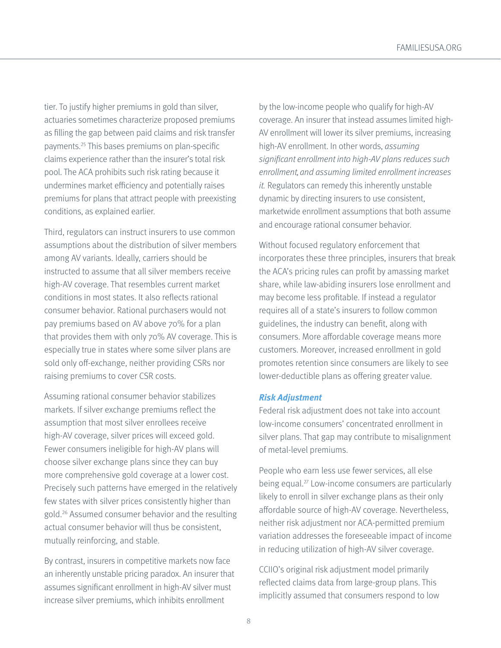<span id="page-7-0"></span>tier. To justify higher premiums in gold than silver, actuaries sometimes characterize proposed premiums as filling the gap between paid claims and risk transfer payments.[25](#page-18-0) This bases premiums on plan-specific claims experience rather than the insurer's total risk pool. The ACA prohibits such risk rating because it undermines market efficiency and potentially raises premiums for plans that attract people with preexisting conditions, as explained earlier.

Third, regulators can instruct insurers to use common assumptions about the distribution of silver members among AV variants. Ideally, carriers should be instructed to assume that all silver members receive high-AV coverage. That resembles current market conditions in most states. It also reflects rational consumer behavior. Rational purchasers would not pay premiums based on AV above 70% for a plan that provides them with only 70% AV coverage. This is especially true in states where some silver plans are sold only off-exchange, neither providing CSRs nor raising premiums to cover CSR costs.

Assuming rational consumer behavior stabilizes markets. If silver exchange premiums reflect the assumption that most silver enrollees receive high-AV coverage, silver prices will exceed gold. Fewer consumers ineligible for high-AV plans will choose silver exchange plans since they can buy more comprehensive gold coverage at a lower cost. Precisely such patterns have emerged in the relatively few states with silver prices consistently higher than gold.[26](#page-18-0) Assumed consumer behavior and the resulting actual consumer behavior will thus be consistent, mutually reinforcing, and stable.

By contrast, insurers in competitive markets now face an inherently unstable pricing paradox. An insurer that assumes significant enrollment in high-AV silver must increase silver premiums, which inhibits enrollment

by the low-income people who qualify for high-AV coverage. An insurer that instead assumes limited high-AV enrollment will lower its silver premiums, increasing high-AV enrollment. In other words, assuming significant enrollment into high-AV plans reduces such enrollment, and assuming limited enrollment increases it. Regulators can remedy this inherently unstable dynamic by directing insurers to use consistent, marketwide enrollment assumptions that both assume and encourage rational consumer behavior.

Without focused regulatory enforcement that incorporates these three principles, insurers that break the ACA's pricing rules can profit by amassing market share, while law-abiding insurers lose enrollment and may become less profitable. If instead a regulator requires all of a state's insurers to follow common guidelines, the industry can benefit, along with consumers. More affordable coverage means more customers. Moreover, increased enrollment in gold promotes retention since consumers are likely to see lower-deductible plans as offering greater value.

#### **Risk Adjustment**

Federal risk adjustment does not take into account low-income consumers' concentrated enrollment in silver plans. That gap may contribute to misalignment of metal-level premiums.

People who earn less use fewer services, all else being equal[.27](#page-18-0) Low-income consumers are particularly likely to enroll in silver exchange plans as their only affordable source of high-AV coverage. Nevertheless, neither risk adjustment nor ACA-permitted premium variation addresses the foreseeable impact of income in reducing utilization of high-AV silver coverage.

CCIIO's original risk adjustment model primarily reflected claims data from large-group plans. This implicitly assumed that consumers respond to low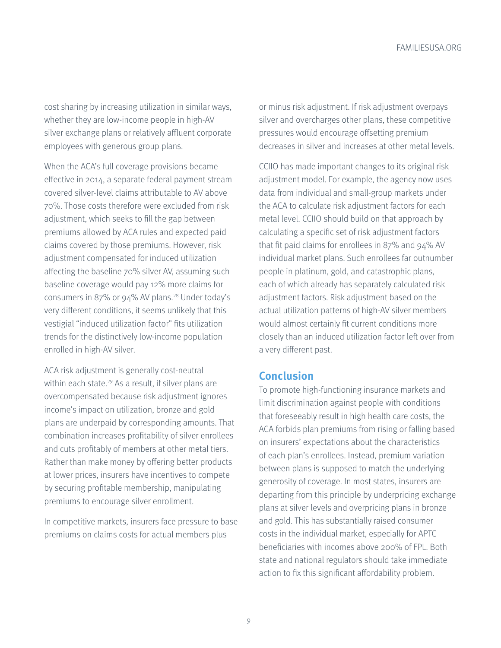<span id="page-8-0"></span>cost sharing by increasing utilization in similar ways, whether they are low-income people in high-AV silver exchange plans or relatively affluent corporate employees with generous group plans.

When the ACA's full coverage provisions became effective in 2014, a separate federal payment stream covered silver-level claims attributable to AV above 70%. Those costs therefore were excluded from risk adjustment, which seeks to fill the gap between premiums allowed by ACA rules and expected paid claims covered by those premiums. However, risk adjustment compensated for induced utilization affecting the baseline 70% silver AV, assuming such baseline coverage would pay 12% more claims for consumers in 87% or 94% AV plans.[28](#page-18-0) Under today's very different conditions, it seems unlikely that this vestigial "induced utilization factor" fits utilization trends for the distinctively low-income population enrolled in high-AV silver.

ACA risk adjustment is generally cost-neutral within each state.<sup>29</sup> As a result, if silver plans are overcompensated because risk adjustment ignores income's impact on utilization, bronze and gold plans are underpaid by corresponding amounts. That combination increases profitability of silver enrollees and cuts profitably of members at other metal tiers. Rather than make money by offering better products at lower prices, insurers have incentives to compete by securing profitable membership, manipulating premiums to encourage silver enrollment.

In competitive markets, insurers face pressure to base premiums on claims costs for actual members plus

or minus risk adjustment. If risk adjustment overpays silver and overcharges other plans, these competitive pressures would encourage offsetting premium decreases in silver and increases at other metal levels.

CCIIO has made important changes to its original risk adjustment model. For example, the agency now uses data from individual and small-group markets under the ACA to calculate risk adjustment factors for each metal level. CCIIO should build on that approach by calculating a specific set of risk adjustment factors that fit paid claims for enrollees in 87% and 94% AV individual market plans. Such enrollees far outnumber people in platinum, gold, and catastrophic plans, each of which already has separately calculated risk adjustment factors. Risk adjustment based on the actual utilization patterns of high-AV silver members would almost certainly fit current conditions more closely than an induced utilization factor left over from a very different past.

### **Conclusion**

To promote high-functioning insurance markets and limit discrimination against people with conditions that foreseeably result in high health care costs, the ACA forbids plan premiums from rising or falling based on insurers' expectations about the characteristics of each plan's enrollees. Instead, premium variation between plans is supposed to match the underlying generosity of coverage. In most states, insurers are departing from this principle by underpricing exchange plans at silver levels and overpricing plans in bronze and gold. This has substantially raised consumer costs in the individual market, especially for APTC beneficiaries with incomes above 200% of FPL. Both state and national regulators should take immediate action to fix this significant affordability problem.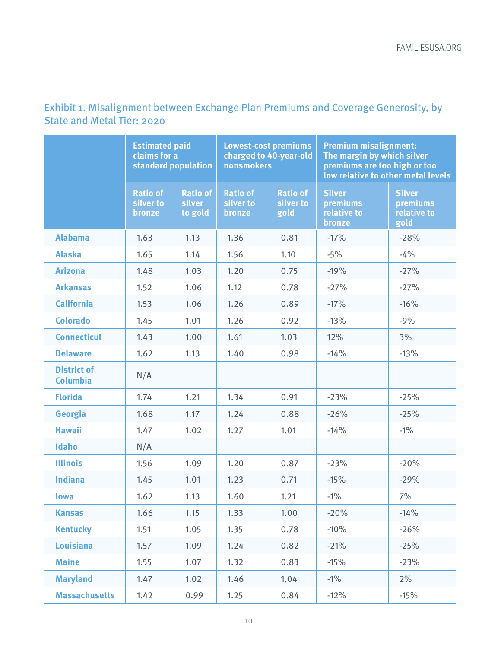|                                       | <b>Estimated paid</b><br>claims for a<br>standard population |                                             | <b>Lowest-cost premiums</b><br>charged to 40-year-old<br>nonsmokers |                                      | <b>Premium misalignment:</b><br>The margin by which silver<br>premiums are too high or too | low relative to other metal levels               |
|---------------------------------------|--------------------------------------------------------------|---------------------------------------------|---------------------------------------------------------------------|--------------------------------------|--------------------------------------------------------------------------------------------|--------------------------------------------------|
|                                       | <b>Ratio of</b><br>silver to<br>bronze                       | <b>Ratio of</b><br><b>silver</b><br>to gold | <b>Ratio of</b><br>silver to<br>bronze                              | <b>Ratio of</b><br>silver to<br>gold | <b>Silver</b><br>premiums<br>relative to<br>bronze                                         | <b>Silver</b><br>premiums<br>relative to<br>gold |
| <b>Alabama</b>                        | 1.63                                                         | 1.13                                        | 1.36                                                                | 0.81                                 | $-17%$                                                                                     | $-28%$                                           |
| <b>Alaska</b>                         | 1.65                                                         | 1.14                                        | 1.56                                                                | 1.10                                 | $-5%$                                                                                      | $-4%$                                            |
| <b>Arizona</b>                        | 1.48                                                         | 1.03                                        | 1.20                                                                | 0.75                                 | $-19%$                                                                                     | $-27%$                                           |
| <b>Arkansas</b>                       | 1.52                                                         | 1.06                                        | 1.12                                                                | 0.78                                 | $-27%$                                                                                     | $-27%$                                           |
| <b>California</b>                     | 1.53                                                         | 1.06                                        | 1.26                                                                | 0.89                                 | $-17%$                                                                                     | $-16%$                                           |
| <b>Colorado</b>                       | 1.45                                                         | 1.01                                        | 1.26                                                                | 0.92                                 | $-13%$                                                                                     | $-9%$                                            |
| <b>Connecticut</b>                    | 1.43                                                         | 1.00                                        | 1.61                                                                | 1.03                                 | 12%                                                                                        | 3%                                               |
| <b>Delaware</b>                       | 1.62                                                         | 1.13                                        | 1.40                                                                | 0.98                                 | $-14%$                                                                                     | $-13%$                                           |
| <b>District of</b><br><b>Columbia</b> | N/A                                                          |                                             |                                                                     |                                      |                                                                                            |                                                  |
| <b>Florida</b>                        | 1.74                                                         | 1.21                                        | 1.34                                                                | 0.91                                 | $-23%$                                                                                     | $-25%$                                           |
| <b>Georgia</b>                        | 1.68                                                         | 1.17                                        | 1.24                                                                | 0.88                                 | $-26%$                                                                                     | $-25%$                                           |
| <b>Hawaii</b>                         | 1.47                                                         | 1.02                                        | 1.27                                                                | 1.01                                 | $-14%$                                                                                     | $-1%$                                            |
| Idaho                                 | N/A                                                          |                                             |                                                                     |                                      |                                                                                            |                                                  |
| <b>Illinois</b>                       | 1.56                                                         | 1.09                                        | 1.20                                                                | 0.87                                 | $-23%$                                                                                     | $-20%$                                           |
| <b>Indiana</b>                        | 1.45                                                         | 1.01                                        | 1.23                                                                | 0.71                                 | $-15%$                                                                                     | $-29%$                                           |
| <b>lowa</b>                           | 1.62                                                         | 1.13                                        | 1.60                                                                | 1.21                                 | $-1%$                                                                                      | 7%                                               |
| <b>Kansas</b>                         | 1.66                                                         | 1.15                                        | 1.33                                                                | 1.00                                 | $-20%$                                                                                     | $-14%$                                           |
| <b>Kentucky</b>                       | 1.51                                                         | 1.05                                        | 1.35                                                                | 0.78                                 | $-10%$                                                                                     | $-26%$                                           |
| <b>Louisiana</b>                      | 1.57                                                         | 1.09                                        | 1.24                                                                | 0.82                                 | $-21%$                                                                                     | $-25%$                                           |
| <b>Maine</b>                          | 1.55                                                         | 1.07                                        | 1.32                                                                | 0.83                                 | $-15%$                                                                                     | $-23%$                                           |
| <b>Maryland</b>                       | 1.47                                                         | 1.02                                        | 1.46                                                                | 1.04                                 | $-1\%$                                                                                     | 2%                                               |
| <b>Massachusetts</b>                  | 1.42                                                         | 0.99                                        | 1.25                                                                | 0.84                                 | $-12%$                                                                                     | $-15%$                                           |

# Exhibit 1. Misalignment between Exchange Plan Premiums and Coverage Generosity, by State and Metal Tier: 2020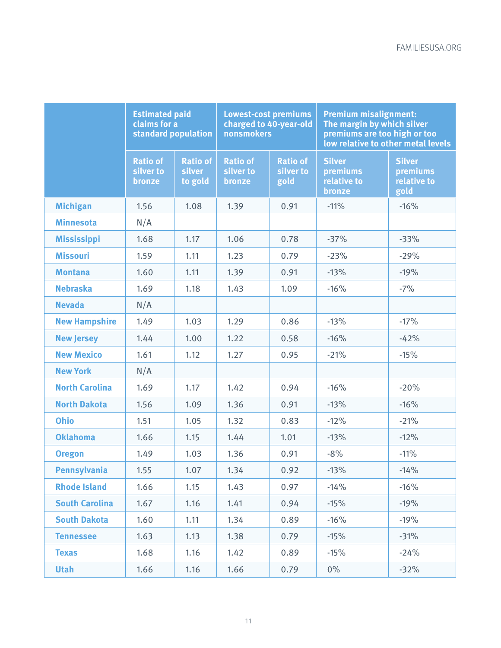|                       | <b>Estimated paid</b><br>claims for a<br>standard population |                                             | <b>Lowest-cost premiums</b><br>charged to 40-year-old<br>nonsmokers |                                      | <b>Premium misalignment:</b><br>The margin by which silver<br>premiums are too high or too | low relative to other metal levels               |
|-----------------------|--------------------------------------------------------------|---------------------------------------------|---------------------------------------------------------------------|--------------------------------------|--------------------------------------------------------------------------------------------|--------------------------------------------------|
|                       | <b>Ratio of</b><br>silver to<br>bronze                       | <b>Ratio of</b><br><b>silver</b><br>to gold | <b>Ratio of</b><br>silver to<br>bronze                              | <b>Ratio of</b><br>silver to<br>gold | <b>Silver</b><br>premiums<br>relative to<br>bronze                                         | <b>Silver</b><br>premiums<br>relative to<br>gold |
| <b>Michigan</b>       | 1.56                                                         | 1.08                                        | 1.39                                                                | 0.91                                 | $-11%$                                                                                     | $-16%$                                           |
| <b>Minnesota</b>      | N/A                                                          |                                             |                                                                     |                                      |                                                                                            |                                                  |
| <b>Mississippi</b>    | 1.68                                                         | 1.17                                        | 1.06                                                                | 0.78                                 | $-37%$                                                                                     | $-33%$                                           |
| <b>Missouri</b>       | 1.59                                                         | 1.11                                        | 1.23                                                                | 0.79                                 | $-23%$                                                                                     | $-29%$                                           |
| <b>Montana</b>        | 1.60                                                         | 1.11                                        | 1.39                                                                | 0.91                                 | $-13%$                                                                                     | $-19%$                                           |
| <b>Nebraska</b>       | 1.69                                                         | 1.18                                        | 1.43                                                                | 1.09                                 | $-16%$                                                                                     | $-7%$                                            |
| <b>Nevada</b>         | N/A                                                          |                                             |                                                                     |                                      |                                                                                            |                                                  |
| <b>New Hampshire</b>  | 1.49                                                         | 1.03                                        | 1.29                                                                | 0.86                                 | $-13%$                                                                                     | $-17%$                                           |
| <b>New Jersey</b>     | 1.44                                                         | 1.00                                        | 1.22                                                                | 0.58                                 | $-16%$                                                                                     | $-42%$                                           |
| <b>New Mexico</b>     | 1.61                                                         | 1.12                                        | 1.27                                                                | 0.95                                 | $-21%$                                                                                     | $-15%$                                           |
| <b>New York</b>       | N/A                                                          |                                             |                                                                     |                                      |                                                                                            |                                                  |
| <b>North Carolina</b> | 1.69                                                         | 1.17                                        | 1.42                                                                | 0.94                                 | $-16%$                                                                                     | $-20%$                                           |
| <b>North Dakota</b>   | 1.56                                                         | 1.09                                        | 1.36                                                                | 0.91                                 | $-13%$                                                                                     | $-16%$                                           |
| <b>Ohio</b>           | 1.51                                                         | 1.05                                        | 1.32                                                                | 0.83                                 | $-12%$                                                                                     | $-21%$                                           |
| <b>Oklahoma</b>       | 1.66                                                         | 1.15                                        | 1.44                                                                | 1.01                                 | $-13%$                                                                                     | $-12%$                                           |
| <b>Oregon</b>         | 1.49                                                         | 1.03                                        | 1.36                                                                | 0.91                                 | $-8%$                                                                                      | $-11%$                                           |
| <b>Pennsylvania</b>   | 1.55                                                         | 1.07                                        | 1.34                                                                | 0.92                                 | $-13%$                                                                                     | $-14%$                                           |
| <b>Rhode Island</b>   | 1.66                                                         | 1.15                                        | 1.43                                                                | 0.97                                 | $-14%$                                                                                     | $-16%$                                           |
| <b>South Carolina</b> | 1.67                                                         | 1.16                                        | 1.41                                                                | 0.94                                 | $-15%$                                                                                     | $-19%$                                           |
| <b>South Dakota</b>   | 1.60                                                         | 1.11                                        | 1.34                                                                | 0.89                                 | $-16%$                                                                                     | $-19%$                                           |
| <b>Tennessee</b>      | 1.63                                                         | 1.13                                        | 1.38                                                                | 0.79                                 | $-15%$                                                                                     | $-31%$                                           |
| <b>Texas</b>          | 1.68                                                         | 1.16                                        | 1.42                                                                | 0.89                                 | $-15%$                                                                                     | $-24%$                                           |
| <b>Utah</b>           | 1.66                                                         | 1.16                                        | 1.66                                                                | 0.79                                 | $0\%$                                                                                      | $-32%$                                           |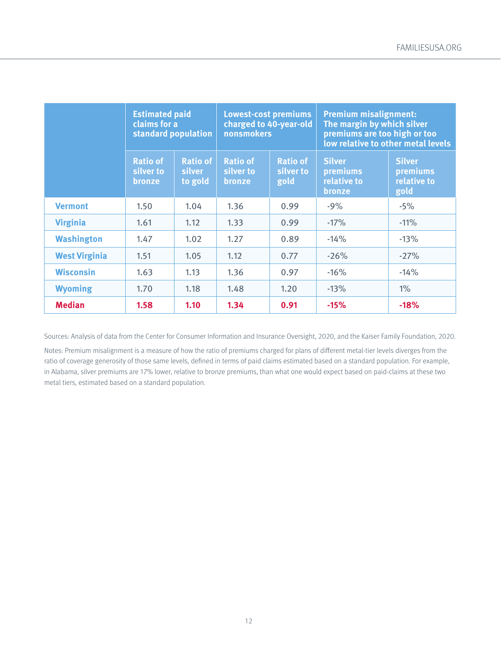|                      | <b>Estimated paid</b><br>claims for a<br>standard population |                                      | <b>Lowest-cost premiums</b><br>charged to 40-year-old<br>nonsmokers |                                      | <b>Premium misalignment:</b><br>The margin by which silver<br>premiums are too high or too | low relative to other metal levels               |
|----------------------|--------------------------------------------------------------|--------------------------------------|---------------------------------------------------------------------|--------------------------------------|--------------------------------------------------------------------------------------------|--------------------------------------------------|
|                      | <b>Ratio of</b><br>silver to<br>bronze                       | <b>Ratio of</b><br>silver<br>to gold | <b>Ratio of</b><br>silver to<br>bronze                              | <b>Ratio of</b><br>silver to<br>gold | <b>Silver</b><br>premiums<br>relative to<br>bronze                                         | <b>Silver</b><br>premiums<br>relative to<br>gold |
| <b>Vermont</b>       | 1.50                                                         | 1.04                                 | 1.36                                                                | 0.99                                 | $-9%$                                                                                      | $-5%$                                            |
| <b>Virginia</b>      | 1.61                                                         | 1.12                                 | 1.33                                                                | 0.99                                 | $-17%$                                                                                     | $-11%$                                           |
| <b>Washington</b>    | 1.47                                                         | 1.02                                 | 1.27                                                                | 0.89                                 | $-14%$                                                                                     | $-13%$                                           |
| <b>West Virginia</b> | 1.51                                                         | 1.05                                 | 1.12                                                                | 0.77                                 | $-26%$                                                                                     | $-27%$                                           |
| <b>Wisconsin</b>     | 1.63                                                         | 1.13                                 | 1.36                                                                | 0.97                                 | $-16%$                                                                                     | $-14%$                                           |
| <b>Wyoming</b>       | 1.70                                                         | 1.18                                 | 1.48                                                                | 1.20                                 | $-13%$                                                                                     | $1\%$                                            |
| <b>Median</b>        | 1.58                                                         | 1.10                                 | 1.34                                                                | 0.91                                 | $-15%$                                                                                     | $-18%$                                           |

Sources: Analysis of data from the Center for Consumer Information and Insurance Oversight, 2020, and the Kaiser Family Foundation, 2020.

Notes: Premium misalignment is a measure of how the ratio of premiums charged for plans of different metal-tier levels diverges from the ratio of coverage generosity of those same levels, defined in terms of paid claims estimated based on a standard population. For example, in Alabama, silver premiums are 17% lower, relative to bronze premiums, than what one would expect based on paid-claims at these two metal tiers, estimated based on a standard population.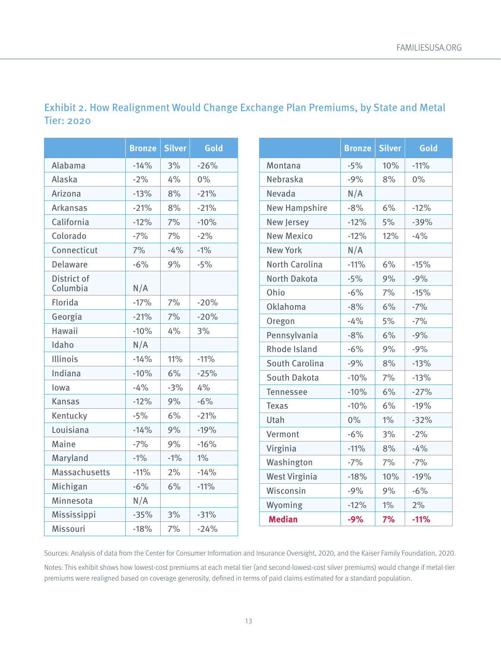|                         | <b>Bronze</b> | <b>Silver</b> | Gold   |
|-------------------------|---------------|---------------|--------|
| Alabama                 | $-14%$        | 3%            | $-26%$ |
| Alaska                  | $-2%$         | 4%            | $0\%$  |
| Arizona                 | $-13%$        | 8%            | $-21%$ |
| <b>Arkansas</b>         | $-21%$        | 8%            | $-21%$ |
| California              | $-12%$        | 7%            | $-10%$ |
| Colorado                | $-7%$         | 7%            | $-2%$  |
| Connecticut             | 7%            | $-4%$         | $-1%$  |
| Delaware                | $-6%$         | 9%            | $-5%$  |
| District of<br>Columbia | N/A           |               |        |
| Florida                 | $-17%$        | 7%            | $-20%$ |
| Georgia                 | $-21%$        | 7%            | $-20%$ |
| Hawaii                  | $-10%$        | 4%            | 3%     |
| Idaho                   | N/A           |               |        |
| Illinois                | $-14%$        | 11%           | $-11%$ |
| Indiana                 | $-10%$        | 6%            | $-25%$ |
| lowa                    | $-4%$         | $-3%$         | 4%     |
| <b>Kansas</b>           | $-12%$        | 9%            | $-6%$  |
| Kentucky                | $-5%$         | 6%            | $-21%$ |
| Louisiana               | $-14%$        | 9%            | $-19%$ |
| Maine                   | $-7%$         | 9%            | $-16%$ |
| Maryland                | $-1%$         | $-1%$         | $1\%$  |
| <b>Massachusetts</b>    | $-11%$        | 2%            | $-14%$ |
| Michigan                | $-6%$         | 6%            | $-11%$ |
| Minnesota               | N/A           |               |        |
| Mississippi             | $-35%$        | 3%            | $-31%$ |
| Missouri                | $-18%$        | 7%            | $-24%$ |

## Exhibit 2. How Realignment Would Change Exchange Plan Premiums, by State and Metal Tier: 2020

|                       | <b>Bronze</b> | <b>Silver</b> | Gold   |
|-----------------------|---------------|---------------|--------|
| Montana               | $-5%$         | 10%           | $-11%$ |
| Nebraska              | $-9%$         | 8%            | $0\%$  |
| Nevada                | N/A           |               |        |
| <b>New Hampshire</b>  | $-8%$         | 6%            | $-12%$ |
| New Jersey            | $-12%$        | 5%            | $-39%$ |
| <b>New Mexico</b>     | $-12%$        | 12%           | $-4%$  |
| <b>New York</b>       | N/A           |               |        |
| <b>North Carolina</b> | $-11%$        | 6%            | $-15%$ |
| <b>North Dakota</b>   | $-5%$         | 9%            | $-9%$  |
| Ohio                  | $-6%$         | 7%            | $-15%$ |
| Oklahoma              | $-8%$         | 6%            | $-7%$  |
| Oregon                | $-4%$         | 5%            | $-7%$  |
| Pennsylvania          | $-8%$         | 6%            | $-9%$  |
| <b>Rhode Island</b>   | $-6%$         | 9%            | $-9%$  |
| South Carolina        | $-9%$         | 8%            | $-13%$ |
| South Dakota          | $-10%$        | 7%            | $-13%$ |
| Tennessee             | $-10%$        | 6%            | $-27%$ |
| <b>Texas</b>          | $-10%$        | 6%            | $-19%$ |
| Utah                  | 0%            | $1\%$         | $-32%$ |
| Vermont               | $-6%$         | 3%            | $-2%$  |
| Virginia              | $-11%$        | 8%            | $-4%$  |
| Washington            | $-7%$         | 7%            | $-7%$  |
| <b>West Virginia</b>  | $-18%$        | 10%           | $-19%$ |
| Wisconsin             | $-9%$         | 9%            | $-6%$  |
| Wyoming               | $-12%$        | $1\%$         | 2%     |
| <b>Median</b>         | $-9%$         | 7%            | $-11%$ |

Sources: Analysis of data from the Center for Consumer Information and Insurance Oversight, 2020, and the Kaiser Family Foundation, 2020. Notes: This exhibit shows how lowest-cost premiums at each metal tier (and second-lowest-cost silver premiums) would change if metal-tier premiums were realigned based on coverage generosity, defined in terms of paid claims estimated for a standard population.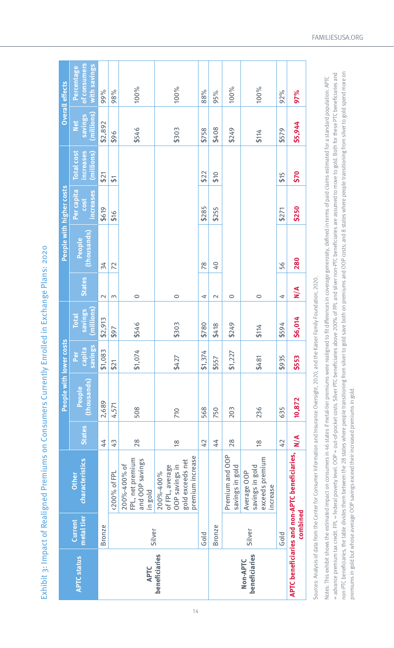| くくくくし                          |
|--------------------------------|
|                                |
|                                |
|                                |
|                                |
| こうりここ りりとり とりここ                |
|                                |
|                                |
|                                |
|                                |
|                                |
|                                |
|                                |
|                                |
|                                |
|                                |
|                                |
|                                |
|                                |
|                                |
|                                |
|                                |
|                                |
|                                |
|                                |
|                                |
|                                |
|                                |
|                                |
|                                |
|                                |
|                                |
|                                |
| ֧֖֖֖֧֚֚֚֚֚֝ <u>֓</u>           |
|                                |
|                                |
|                                |
|                                |
|                                |
|                                |
|                                |
|                                |
|                                |
|                                |
|                                |
|                                |
|                                |
|                                |
|                                |
|                                |
|                                |
|                                |
|                                |
|                                |
|                                |
| S<br>C<br>C<br>C               |
|                                |
|                                |
| ز                              |
|                                |
|                                |
|                                |
| ֧֦֧֞                           |
|                                |
|                                |
| <b>NAC AN E ANCHIMAN CHEES</b> |
|                                |
| $\overline{a}$                 |
|                                |
|                                |
|                                |
|                                |
|                                |
|                                |
|                                |
|                                |
|                                |
|                                |
|                                |
|                                |
|                                |
|                                |
|                                |
|                                |
|                                |
|                                |
| I                              |
| )                              |
|                                |
|                                |
|                                |
|                                |
|                                |
|                                |
|                                |
|                                |
|                                |
|                                |
|                                |
|                                |
|                                |
|                                |
|                                |
|                                |
|                                |
|                                |

|                           |                       |                                                                                        |                  | People with lower costs                                                     |                          |                                       |               |                       | People with higher costs        |                                              |                              | <b>Overall effects</b>                     |
|---------------------------|-----------------------|----------------------------------------------------------------------------------------|------------------|-----------------------------------------------------------------------------|--------------------------|---------------------------------------|---------------|-----------------------|---------------------------------|----------------------------------------------|------------------------------|--------------------------------------------|
| <b>APTC status</b>        | metal tier<br>Current | characteristics<br>Other                                                               | <b>States</b>    | (thousands)<br>People                                                       | savings<br>capita<br>Per | (millions)<br>savings<br><b>Total</b> | <b>States</b> | (thousands)<br>People | Per capita<br>increases<br>cost | increases<br><b>Total cost</b><br>(millions) | (millions)<br>savings<br>Net | of consumers<br>with savings<br>Percentage |
|                           | <b>Bronze</b>         |                                                                                        | 44               | 2,689                                                                       | \$1,083                  | \$2,913                               | $\mathbf 2$   | 34                    | \$619                           | \$21                                         | \$2,892                      | 99%                                        |
|                           |                       | <200% of FPL                                                                           | 43               | 4,571                                                                       | \$21                     | \$97                                  | 3             | 72                    | \$16                            | 5                                            | \$96                         | 98%                                        |
| <b>APTC</b>               | Silver                | FPL, net premium<br>and OOP savings<br>200%-400% of<br>in gold                         | 28               | 508                                                                         | \$1,074                  | \$546                                 | $\circ$       |                       |                                 |                                              | \$546                        | 100%                                       |
| beneficiaries             |                       | premium increase<br>gold exceeds net<br>OOP savings in<br>of FPL, average<br>200%-400% | $\frac{8}{1}$    | 710                                                                         | \$427                    | \$303                                 | $\circ$       |                       |                                 |                                              | \$303                        | 100%                                       |
|                           | Gold                  |                                                                                        | 42               | 568                                                                         | \$1,374                  | \$780                                 | 4             | 78                    | \$285                           | \$22                                         | \$758                        | 88%                                        |
|                           | <b>Bronze</b>         |                                                                                        | 44               | 750                                                                         | \$557                    | \$418                                 | $\sim$        | $0+$                  | \$255                           | \$10                                         | \$408                        | 95%                                        |
|                           |                       | Premium and OOP<br>savings in gold                                                     | 28               | 203                                                                         | \$1,227                  | \$249                                 | $\circ$       |                       |                                 |                                              | \$249                        | 100%                                       |
| beneficiaries<br>Non-APTC | Silver                | exceeds premium<br>savings in gold<br>Average OOP<br>increase                          | $\frac{8}{5}$    | 236                                                                         | \$481                    | \$114                                 | $\circ$       |                       |                                 |                                              | \$114                        | 100%                                       |
|                           | Gold                  |                                                                                        | 42               | 635                                                                         | \$935                    | \$594                                 | 4             | 56                    | \$271                           | \$15                                         | \$579                        | 92%                                        |
|                           | combined              | APTC beneficiaries and non-APTC beneficiaries,                                         | $\sum_{i=1}^{n}$ | 10,872                                                                      | \$553                    | \$6,014                               | $\frac{4}{5}$ | 280                   | \$250                           | \$70                                         | \$5,944                      | 97%                                        |
|                           |                       | $-11.1$                                                                                |                  | OC 2007 - The Hotel Cooper of the Hotel Hotel Hotel Hotel Allen Hotel Allen |                          |                                       |               |                       |                                 |                                              |                              |                                            |

Sources: Analysis of data from the Center for Consumer Information and Insurance Oversight, 2020, and the Kaiser Family Foundation, 2020. Sources: Analysis of data from the Center for Consumer Information and Insurance Oversight, 2020, and the Kaiser Family Foundation, 2020.

non-PTC beneficiaries, the table divides them between the 28 states where people transitioning from silver to gold save both on premiums and OOP costs; and 8 states where people transitioning from silver to gold spend more non-PTC beneficiaries, the table divides then between the 28 states where people transitioning from silver to gold save both on premiums and ODP costs; and 8 states where people transitioning from silver to gold spend more advance premium tax credit. FPL = federal poverty level. OOP = out-of-pocket costs. Silver PTC beneficiaries above 200% of FPL and silver non-PTC beneficiaries are assumed to move to gold. Both for these PTC beneficiaries = advance premium tax credit. FPL = federal poverty level. OOP = out-of-pocket costs. Silver PTC beneficiaries above 200% of FPL and silver non-PTC beneficiaries are assumed to move to gold. Both for these PTC beneficiarie Notes: This exhibit shows the estimated impact on consumers in 46 states if the pretal-tier premiums were realigned to fit differences in coverage generosity, defined in terms of paid claims estimated for a standard popula Notes. This exhibit shows the estimated impact on consumers in 46 states if metal-tier premiums were realigned to fit differences in coverage generosity, defined in terms of paid claims estimated for a standation. APTC premiums in gold but whose average OOP savings exceed their increased premiums in gold. premiums in gold but whose average OOP savings exceed their increased premiums in gold.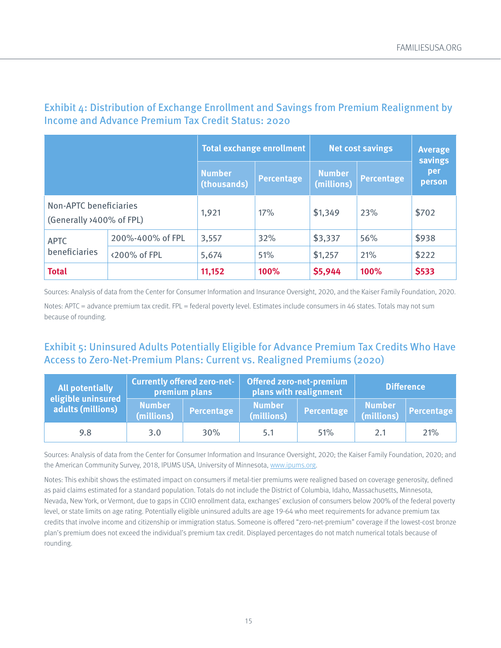|                                                    |                  | <b>Total exchange enrollment</b> |                   |                             | <b>Net cost savings</b> | <b>Average</b><br><b>savings</b> |
|----------------------------------------------------|------------------|----------------------------------|-------------------|-----------------------------|-------------------------|----------------------------------|
|                                                    |                  | <b>Number</b><br>(thousands)     | <b>Percentage</b> | <b>Number</b><br>(millions) | <b>Percentage</b>       | per<br>person                    |
| Non-APTC beneficiaries<br>(Generally >400% of FPL) |                  | 1,921                            | 17%               | \$1,349                     | 23%                     | \$702                            |
| <b>APTC</b>                                        | 200%-400% of FPL | 3,557                            | 32%               | \$3,337                     | 56%                     | \$938                            |
| beneficiaries                                      | <200% of FPL     | 5,674                            | 51%               | \$1,257                     | 21%                     | \$222                            |
| <b>Total</b>                                       |                  | 11,152                           | 100%              | \$5,944                     | 100%                    | \$533                            |

## Exhibit 4: Distribution of Exchange Enrollment and Savings from Premium Realignment by Income and Advance Premium Tax Credit Status: 2020

Sources: Analysis of data from the Center for Consumer Information and Insurance Oversight, 2020, and the Kaiser Family Foundation, 2020.

Notes: APTC = advance premium tax credit. FPL = federal poverty level. Estimates include consumers in 46 states. Totals may not sum because of rounding.

# Exhibit 5: Uninsured Adults Potentially Eligible for Advance Premium Tax Credits Who Have Access to Zero-Net-Premium Plans: Current vs. Realigned Premiums (2020)

| <b>All potentially</b><br>eligible uninsured |                             | <b>Currently offered zero-net-</b><br>premium plans |                             | <b>Offered zero-net-premium</b><br>plans with realignment |                             | <b>Difference</b> |
|----------------------------------------------|-----------------------------|-----------------------------------------------------|-----------------------------|-----------------------------------------------------------|-----------------------------|-------------------|
| adults (millions)                            | <b>Number</b><br>(millions) | <b>Percentage</b>                                   | <b>Number</b><br>(millions) | <b>Percentage</b>                                         | <b>Number</b><br>(millions) | <b>Percentage</b> |
| 9.8                                          | 3.0                         | 30%                                                 | 5.1                         | 51%                                                       | 2.1                         | 21%               |

Sources: Analysis of data from the Center for Consumer Information and Insurance Oversight, 2020; the Kaiser Family Foundation, 2020; and the American Community Survey, 2018, IPUMS USA, University of Minnesota, [www.ipums.org.](http://www.ipums.org)

Notes: This exhibit shows the estimated impact on consumers if metal-tier premiums were realigned based on coverage generosity, defined as paid claims estimated for a standard population. Totals do not include the District of Columbia, Idaho, Massachusetts, Minnesota, Nevada, New York, or Vermont, due to gaps in CCIIO enrollment data, exchanges' exclusion of consumers below 200% of the federal poverty level, or state limits on age rating. Potentially eligible uninsured adults are age 19-64 who meet requirements for advance premium tax credits that involve income and citizenship or immigration status. Someone is offered "zero-net-premium" coverage if the lowest-cost bronze plan's premium does not exceed the individual's premium tax credit. Displayed percentages do not match numerical totals because of rounding.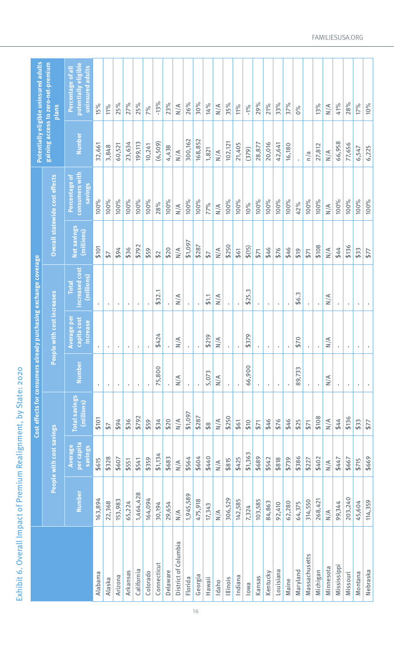| Potentially eligible uninsured adults | gaining access to zero-net-premium<br><b>Plans</b> | potentially eligible<br>uninsured adults<br>Percentage of all | 15%            | 11%                     | 25%          | 27%          | 25%          | 7%           | $-13%$         | 23%      | $\frac{4}{\sqrt{2}}$ | 26%          | 30%          | 14%            | N/A                  | 35%            | 11%          | $-1\%$             | 29%          | 21%          | 33%          | 37%            | $0\%$    |               | 13%          | $\frac{1}{2}$        | 41%          | 28%          | 17%     | 10%      |
|---------------------------------------|----------------------------------------------------|---------------------------------------------------------------|----------------|-------------------------|--------------|--------------|--------------|--------------|----------------|----------|----------------------|--------------|--------------|----------------|----------------------|----------------|--------------|--------------------|--------------|--------------|--------------|----------------|----------|---------------|--------------|----------------------|--------------|--------------|---------|----------|
|                                       |                                                    | Number                                                        | 32,661         | 3,848                   | 60,521       | 23,634       | 199,113      | 10,241       | (6, 509)       | 4,438    | $\frac{4}{\pi}$      | 300,162      | 168,852      | 1,821          | N/A                  | 102,121        | 21,405       | (379)              | 28,877       | 20,016       | 42,641       | 16,180         |          | n/a           | 27,812       | $\frac{4}{\sqrt{2}}$ | 66,958       | 77,656       | 6,547   | 6,225    |
|                                       | Overall statewide cost effects                     | <b>Consumers with</b><br>Percentage of<br>savings             | 100%           | 100%                    | 100%         | 100%         | 100%         | 100%         | 28%            | 100%     | $\frac{1}{2}$        | 100%         | 100%         | 77%            | $\frac{4}{\sqrt{2}}$ | 100%           | 100%         | 10%                | 100%         | 100%         | 100%         | 100%           | 42%      | 100%          | 100%         | $\frac{4}{\sqrt{2}}$ | 100%         | 100%         | 100%    | 100%     |
|                                       |                                                    | <b>Net savings</b><br>(millions)                              | \$101          | 57                      | \$94         | \$36         | \$792        | \$59         | $\mathfrak{L}$ | \$20     | $\frac{4}{\sqrt{2}}$ | \$1,097      | \$287        | $\overline{5}$ | $\frac{4}{\sqrt{2}}$ | \$250          | \$61         | \$(15)             | \$71         | \$46         | \$76         | \$46           | \$19     | \$71          | \$108        | $\frac{1}{N}$        | \$44         | \$136        | \$33    | 577      |
| y purchasing exchange coverage        |                                                    | increased cost<br>(millions)<br><b>Total</b>                  | $\mathbf{r}$   | $\mathbf{r}$            | $\mathbf{r}$ | $\mathbf{I}$ | ×.           |              | \$32.1         | ×.       | $\frac{4}{\pi}$      | $\mathbf{I}$ |              | 51.1           | $\frac{4}{\pi}$      | $\mathbf{r}$   | ×            | \$25.3             | $\mathbf{r}$ | $\mathbf{r}$ | $\mathbf{I}$ | $\mathbf{I}$   | \$6.3    | ×.            | $\mathbf{I}$ | $\frac{4}{\pi}$      | $\mathbf{r}$ | $\mathbf{I}$ | ٠       |          |
|                                       | with cost increases                                | Average per<br>capita cost<br>increase                        | $\blacksquare$ | ٠                       | $\mathbf{r}$ | $\mathbf{r}$ | $\mathbf{r}$ | $\mathbf{r}$ | 424<br>↮       |          | N/A                  | $\mathbf{r}$ | $\mathbf{r}$ | \$219          | N/A                  | $\blacksquare$ | ×            | \$379              | $\mathbf{r}$ | $\mathbf{r}$ | $\mathbf{r}$ | $\blacksquare$ | \$70     | $\mathbf{r}$  | $\mathbf{r}$ | $\frac{1}{2}$        |              | $\mathbf{r}$ | ×,      | ×,       |
|                                       | People                                             | Number                                                        | $\mathbf{r}$   | ٠                       | $\mathbf{r}$ | ×            | ٠            | ×            | 75,800         | ×.       | $\frac{1}{N}$        | $\mathbf{I}$ |              | 5,073          | $\frac{4}{\pi}$      | $\mathbf{r}$   | $\mathbf{r}$ | 66,900             | ×            | ٠            | τ.           | ×              | 89,733   | ×.            | ×            | $\frac{4}{\pi}$      | $\mathbf{r}$ | $\,$         | ٠       | ×.       |
| Cost effects for consumers already    |                                                    | <b>Total savings</b><br>(millions)                            | \$101          | $\overline{\mathbf{5}}$ | \$94         | \$36         | \$792        | \$59         | \$34           | \$20     | $\frac{4}{\pi}$      | \$1,097      | \$287        | $\frac{8}{3}$  | $\frac{4}{\pi}$      | \$250          | \$61         | \$10               | \$71         | \$46         | \$76         | \$46           | \$25     | \$71          | \$108        | $\frac{1}{N}$        | \$44         | \$136        | \$33    | 577      |
|                                       | People with cost savings                           | per capita<br>Average<br>savings                              | \$615          | \$328                   | \$607        | \$551        | \$541        | \$359        | \$1,134        | \$683    | $\frac{4}{\sqrt{2}}$ | \$564        | \$604        | \$440          | $\frac{4}{\sqrt{2}}$ | \$815          | \$425        | $\infty$<br>\$1,36 | \$689        | \$542        | \$818        | \$739          | \$386    | \$227         | \$402        | $\frac{4}{\sqrt{2}}$ | \$447        | \$667        | \$715   | \$669    |
|                                       |                                                    | Number                                                        | 163,894        | 22,368                  | 153,983      | 65,224       | 1,464,428    | 164,094      | 30,194         | 29,654   | $\frac{4}{\pi}$      | 1,945,589    | 475,918      | 17,343         | $\frac{1}{N}$        | 306,529        | 142,585      | 7,324              | 103,585      | 84,863       | 92,410       | 62,280         | 64,375   | 314,550       | 268,421      | $\frac{1}{N}$        | 99,344       | 203,240      | 45,604  | 114,359  |
|                                       |                                                    |                                                               | Alabama        | Alaska                  | Arizona      | Arkansas     | California   | Colorado     | Connecticut    | Delaware | District of Columbia | Florida      | Georgia      | Hawaii         | Idaho                | Illinois       | Indiana      | lowa               | Kansas       | Kentucky     | Louisiana    | Maine          | Maryland | Massachusetts | Michigan     | Minnesota            | Mississippi  | Missouri     | Montana | Nebraska |

[FAMILIESUSA.ORG](http://FAMILIESUSA.ORG)

Exhibit 6. Overall Impact of Premium Realignment, by State: 2020

Exhibit 6. Overall Impact of Premium Realignment, by State: 2020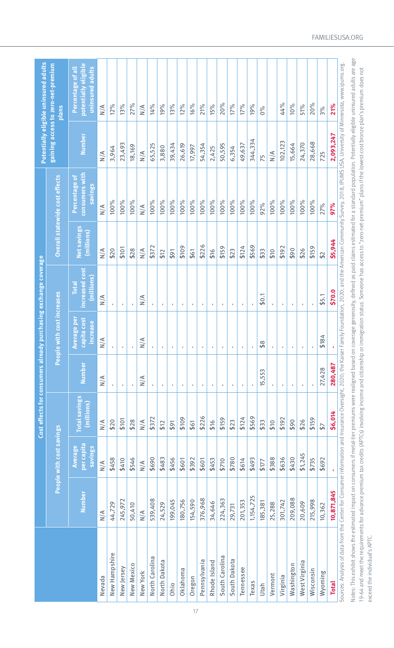|                                                                                                                                                                                                                                |               |                                  | Cost effects for consumers already |                         |                                        | / purchasing exchange coverage              |                                  |                                            |                 | Potentially eligible uninsured adults                         |
|--------------------------------------------------------------------------------------------------------------------------------------------------------------------------------------------------------------------------------|---------------|----------------------------------|------------------------------------|-------------------------|----------------------------------------|---------------------------------------------|----------------------------------|--------------------------------------------|-----------------|---------------------------------------------------------------|
|                                                                                                                                                                                                                                |               | People with cost savings         |                                    | People                  | with cost increases                    |                                             |                                  | Overall statewide cost effects             |                 | gaining access to zero-net-premium<br><b>Plans</b>            |
|                                                                                                                                                                                                                                | Number        | per capita<br>Average<br>savings | <b>Total savings</b><br>(millions) | Number                  | Average per<br>capita cost<br>increase | ncreased cost<br>(millions)<br><b>Total</b> | <b>Net savings</b><br>(millions) | consumers with<br>Percentage of<br>savings | <b>Number</b>   | potentially eligible<br>Percentage of all<br>uninsured adults |
| Nevada                                                                                                                                                                                                                         | $\frac{4}{2}$ | $\frac{4}{\pi}$                  | $\frac{4}{\sqrt{2}}$               | $\frac{4}{\sqrt{2}}$    | $\frac{4}{\sqrt{2}}$                   | $\frac{4}{\pi}$                             | $\frac{4}{\pi}$                  | $\frac{4}{\sqrt{2}}$                       | $\frac{4}{\pi}$ | $\frac{4}{\pi}$                                               |
| New Hampshire                                                                                                                                                                                                                  | 44,729        | \$458                            | \$20                               |                         | $\mathbf{r}$                           |                                             | \$20                             | 100%                                       | 3,964           | 12%                                                           |
| New Jersey                                                                                                                                                                                                                     | 245,972       | \$410                            | \$101                              | J.                      | J.                                     | $\mathbf{I}$                                | \$101                            | 100%                                       | 23,493          | 13%                                                           |
| New Mexico                                                                                                                                                                                                                     | 50,410        | \$546                            | \$28                               |                         |                                        |                                             | \$28                             | 100%                                       | 18,169          | 27%                                                           |
| New York                                                                                                                                                                                                                       | $\frac{1}{N}$ | $\frac{1}{N}$                    | $\frac{1}{N}$                      | N/A                     | N/A                                    | $\frac{1}{N}$                               | $\frac{1}{N}$                    | $\frac{1}{2}$                              | $\frac{1}{2}$   | $\frac{4}{\pi}$                                               |
| North Carolina                                                                                                                                                                                                                 | 539,408       | \$690                            | \$372                              | ٠                       | $\mathbf{r}$                           |                                             | \$372                            | 100%                                       | 65,525          | 14%                                                           |
| North Dakota                                                                                                                                                                                                                   | 24,529        | \$483                            | \$12                               | $\mathbf{I}$            | ×                                      | $\mathbf{r}$                                | \$12                             | 100%                                       | 3,880           | 19%                                                           |
| Ohio                                                                                                                                                                                                                           | 199,045       | \$456                            | \$91                               | $\mathbf{r}_\mathrm{c}$ | ×                                      | $\mathbf{r}_\mathrm{c}$                     | 64                               | 100%                                       | 39,434          | 13%                                                           |
| Oklahoma                                                                                                                                                                                                                       | 180,756       | \$601                            | \$109                              | ٠                       | $\blacksquare$                         | $\mathbf{r}$                                | \$109                            | 100%                                       | 26,619          | $12\%$                                                        |
| Oregon                                                                                                                                                                                                                         | 154,590       | \$392                            | \$61                               |                         |                                        |                                             | \$61                             | 100%                                       | 17,997          | 16%                                                           |
| Pennsylvania                                                                                                                                                                                                                   | 376,968       | \$601                            | \$226                              |                         | ×,                                     | ×.                                          | \$226                            | 100%                                       | 54,354          | 21%                                                           |
| Rhode Island                                                                                                                                                                                                                   | 34,646        | \$453                            | \$16                               | τ.                      | ٠                                      | $\mathbf{L}$                                | \$16                             | 100%                                       | 2,425           | 15%                                                           |
| South Carolina                                                                                                                                                                                                                 | 224,363       | \$710                            | \$159                              | $\mathbf{I}$            | $\mathbf{I}$                           | $\mathbf{I}$                                | \$159                            | 100%                                       | 50,595          | 20%                                                           |
| South Dakota                                                                                                                                                                                                                   | 29,731        | \$780                            | \$23                               |                         |                                        | ×                                           | \$23                             | 100%                                       | 6,354           | 17%                                                           |
| Tennessee                                                                                                                                                                                                                      | 201,353       | \$614                            | \$124                              |                         |                                        | ×.                                          | \$124                            | 100%                                       | 49,637          | 17%                                                           |
| Texas                                                                                                                                                                                                                          | 1,154,725     | \$493                            | \$569                              |                         | J.                                     |                                             | \$569                            | 100%                                       | 344,334         | 19%                                                           |
| Utah                                                                                                                                                                                                                           | 185,381       | \$177                            | \$33                               | 15,553                  | $\infty$<br>↮                          | \$0.1                                       | \$33                             | 92%                                        | 75              | $0\%$                                                         |
| Vermont                                                                                                                                                                                                                        | 25,288        | \$388                            | \$10                               |                         | $\mathbf{I}$                           | ×.                                          | \$10                             | 100%                                       | $\frac{4}{\pi}$ |                                                               |
| Virginia                                                                                                                                                                                                                       | 301,742       | \$636                            | \$192                              | ×,                      | $\mathbf{r}$                           | $\mathbf{r}$                                | \$192                            | 100%                                       | 102,123         | 44%                                                           |
| Washington                                                                                                                                                                                                                     | 209,088       | \$430                            | \$90                               | ×                       | $\mathbf{r}$                           | $\mathbf{r}$                                | \$90                             | 100%                                       | 15,664          | 10%                                                           |
| West Virginia                                                                                                                                                                                                                  | 20,609        | \$1,245                          | \$26                               |                         | J.                                     |                                             | \$26                             | 100%                                       | 24,370          | 51%                                                           |
| Wisconsin                                                                                                                                                                                                                      | 215,998       | \$735                            | \$159                              |                         | $\mathbf{I}$                           |                                             | \$159                            | 100%                                       | 28,668          | 20%                                                           |
| Wyoming                                                                                                                                                                                                                        | 10,362        | \$692                            | $\overline{5}$                     | 27,428                  | \$184                                  | \$5.1                                       | $\mathfrak{L}$                   | 27%                                        | 725             | 3%                                                            |
| <b>Total</b>                                                                                                                                                                                                                   | 10,871,845    |                                  | \$6,014                            | 280,487                 | ï                                      | \$70.0                                      | \$5,944                          | 97%                                        | 2,093,247       | 21%                                                           |
| Sources: Analysis of data from the Center for Consumer Information and Insurance Oversight, 2020; the Kaiser Family Foundation, 2020; and the American Community Survey, 2018, IPUMS USA, University of Minnesota, www.ipums.o |               |                                  |                                    |                         |                                        |                                             |                                  |                                            |                 |                                                               |
| Notes: This exhibit shows the estimated impact on consumers if metal-tier premiums were realigned based on coverage generosity, defined as paid claims estimated for a standard population. Potentially eligible uninsured adu |               |                                  |                                    |                         |                                        |                                             |                                  |                                            |                 |                                                               |
| 19-64 and meet the requirements for advance premium tax credits (APTCs) involving income and citizenship or immigration status. Someone has access to "zero-net-premium" plans if the lowest-cost bronze plan's premium does n |               |                                  |                                    |                         |                                        |                                             |                                  |                                            |                 |                                                               |

exceed the individual's APTC.

exceed the individual's APTC.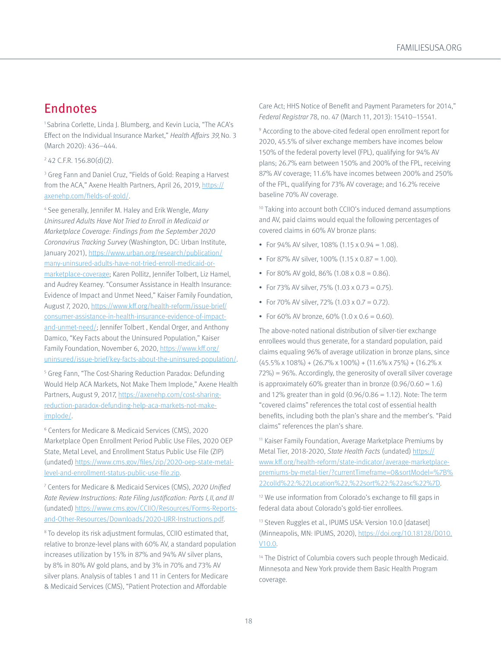# <span id="page-17-0"></span>Endnotes

[1](#page-0-0) Sabrina Corlette, Linda J. Blumberg, and Kevin Lucia, "The ACA's Effect on the Individual Insurance Market," Health Affairs 39, No. 3 (March 2020): 436–444.

[2](#page-0-0) 42 C.F.R. 156.80(d)(2).

<sup>[3](#page-0-0)</sup> Greg Fann and Daniel Cruz, "Fields of Gold: Reaping a Harvest from the ACA," Axene Health Partners, April 26, 2019, [https://](https://axenehp.com/fields-of-gold/) [axenehp.com/fields-of-gold/](https://axenehp.com/fields-of-gold/).

<sup>[4](#page-1-0)</sup> See generally, Jennifer M. Haley and Erik Wengle, Many Uninsured Adults Have Not Tried to Enroll in Medicaid or Marketplace Coverage: Findings from the September 2020 Coronavirus Tracking Survey (Washington, DC: Urban Institute, January 2021), [https://www.urban.org/research/publication/](https://www.urban.org/research/publication/many-uninsured-adults-have-not-tried-enroll-medicaid-or-marketplace-coverage) [many-uninsured-adults-have-not-tried-enroll-medicaid-or](https://www.urban.org/research/publication/many-uninsured-adults-have-not-tried-enroll-medicaid-or-marketplace-coverage)[marketplace-coverage;](https://www.urban.org/research/publication/many-uninsured-adults-have-not-tried-enroll-medicaid-or-marketplace-coverage) Karen Pollitz, Jennifer Tolbert, Liz Hamel, and Audrey Kearney. "Consumer Assistance in Health Insurance: Evidence of Impact and Unmet Need," Kaiser Family Foundation, August 7, 2020, [https://www.kff.org/health-reform/issue-brief/](https://www.kff.org/health-reform/issue-brief/consumer-assistance-in-health-insurance-evidence-of-impact-and-unmet-need/) [consumer-assistance-in-health-insurance-evidence-of-impact](https://www.kff.org/health-reform/issue-brief/consumer-assistance-in-health-insurance-evidence-of-impact-and-unmet-need/)[and-unmet-need/](https://www.kff.org/health-reform/issue-brief/consumer-assistance-in-health-insurance-evidence-of-impact-and-unmet-need/); Jennifer Tolbert , Kendal Orger, and Anthony Damico, "Key Facts about the Uninsured Population," Kaiser Family Foundation, November 6, 2020, [https://www.kff.org/](https://www.kff.org/uninsured/issue-brief/key-facts-about-the-uninsured-population/) [uninsured/issue-brief/key-facts-about-the-uninsured-population/](https://www.kff.org/uninsured/issue-brief/key-facts-about-the-uninsured-population/).

<sup>[5](#page-1-0)</sup> Greg Fann, "The Cost-Sharing Reduction Paradox: Defunding Would Help ACA Markets, Not Make Them Implode," Axene Health Partners, August 9, 2017, [https://axenehp.com/cost-sharing](https://axenehp.com/cost-sharing-reduction-paradox-defunding-help-aca-markets-not-make-implode/)[reduction-paradox-defunding-help-aca-markets-not-make](https://axenehp.com/cost-sharing-reduction-paradox-defunding-help-aca-markets-not-make-implode/)[implode/](https://axenehp.com/cost-sharing-reduction-paradox-defunding-help-aca-markets-not-make-implode/).

[6](#page-1-0) Centers for Medicare & Medicaid Services (CMS), 2020 Marketplace Open Enrollment Period Public Use Files, 2020 OEP State, Metal Level, and Enrollment Status Public Use File (ZIP) (undated) [https://www.cms.gov/files/zip/2020-oep-state-metal](https://www.cms.gov/files/zip/2020-oep-state-metal-level-and-enrollment-status-public-use-file.zip)[level-and-enrollment-status-public-use-file.zip.](https://www.cms.gov/files/zip/2020-oep-state-metal-level-and-enrollment-status-public-use-file.zip)

7 Centers for Medicare & Medicaid Services (CMS), 2020 Unified Rate Review Instructions: Rate Filing Justification: Parts I, II, and III (undated) [https://www.cms.gov/CCIIO/Resources/Forms-Reports](https://www.cms.gov/CCIIO/Resources/Forms-Reports-and-Other-Resources/Downloads/2020-URR-Instructions.pdf)[and-Other-Resources/Downloads/2020-URR-Instructions.pdf](https://www.cms.gov/CCIIO/Resources/Forms-Reports-and-Other-Resources/Downloads/2020-URR-Instructions.pdf).

[8](#page-2-0) To develop its risk adjustment formulas, CCIIO estimated that, relative to bronze-level plans with 60% AV, a standard population increases utilization by 15% in 87% and 94% AV silver plans, by 8% in 80% AV gold plans, and by 3% in 70% and 73% AV silver plans. Analysis of tables 1 and 11 in Centers for Medicare & Medicaid Services (CMS), "Patient Protection and Affordable

Care Act; HHS Notice of Benefit and Payment Parameters for 2014," Federal Registrar 78, no. 47 (March 11, 2013): 15410–15541.

[9](#page-2-0) According to the above-cited federal open enrollment report for 2020, 45.5% of silver exchange members have incomes below 150% of the federal poverty level (FPL), qualifying for 94% AV plans; 26.7% earn between 150% and 200% of the FPL, receiving 87% AV coverage; 11.6% have incomes between 200% and 250% of the FPL, qualifying for 73% AV coverage; and 16.2% receive baseline 70% AV coverage.

[10](#page-2-0) Taking into account both CCIIO's induced demand assumptions and AV, paid claims would equal the following percentages of covered claims in 60% AV bronze plans:

- For  $94\%$  AV silver, 108% (1.15 x 0.94 = 1.08).
- For 87% AV silver, 100% (1.15 x 0.87 = 1.00).
- For 80% AV gold, 86% (1.08 x 0.8 = 0.86).
- For 73% AV silver, 75% (1.03 x 0.73 = 0.75).
- For 70% AV silver, 72% (1.03 x 0.7 = 0.72).
- For 60% AV bronze, 60% (1.0 x 0.6 = 0.60).

The above-noted national distribution of silver-tier exchange enrollees would thus generate, for a standard population, paid claims equaling 96% of average utilization in bronze plans, since  $(45.5\% \times 108\%) + (26.7\% \times 100\%) + (11.6\% \times 75\%) + (16.2\% \times 100\%)$ 72%) = 96%. Accordingly, the generosity of overall silver coverage is approximately 60% greater than in bronze  $(0.96/0.60 = 1.6)$ and 12% greater than in gold  $(0.96/0.86 = 1.12)$ . Note: The term "covered claims" references the total cost of essential health benefits, including both the plan's share and the member's. "Paid claims" references the plan's share.

[11](#page-2-0) Kaiser Family Foundation, Average Marketplace Premiums by Metal Tier, 2018-2020, State Health Facts (undated) [https://](https://www.kff.org/health-reform/state-indicator/average-marketplace-premiums-by-metal-tier/?currentTimeframe=0&sortModel=%7B%22colId%22:%22Location%22,%22sort%22:%22asc%22%7D) [www.kff.org/health-reform/state-indicator/average-marketplace](https://www.kff.org/health-reform/state-indicator/average-marketplace-premiums-by-metal-tier/?currentTimeframe=0&sortModel=%7B%22colId%22:%22Location%22,%22sort%22:%22asc%22%7D)[premiums-by-metal-tier/?currentTimeframe=0&sortModel=%7B%](https://www.kff.org/health-reform/state-indicator/average-marketplace-premiums-by-metal-tier/?currentTimeframe=0&sortModel=%7B%22colId%22:%22Location%22,%22sort%22:%22asc%22%7D) [22colId%22:%22Location%22,%22sort%22:%22asc%22%7D.](https://www.kff.org/health-reform/state-indicator/average-marketplace-premiums-by-metal-tier/?currentTimeframe=0&sortModel=%7B%22colId%22:%22Location%22,%22sort%22:%22asc%22%7D)

<sup>12</sup> We use information from Colorado's exchange to fill gaps in federal data about Colorado's gold-tier enrollees.

[13](#page-2-0) Steven Ruggles et al., IPUMS USA: Version 10.0 [dataset] (Minneapolis, MN: IPUMS, 2020), [https://doi.org/10.18128/D010.](https://doi.org/10.18128/D010.V10.0) [V10.0.](https://doi.org/10.18128/D010.V10.0)

<sup>14</sup> The District of Columbia covers such people through Medicaid. Minnesota and New York provide them Basic Health Program coverage.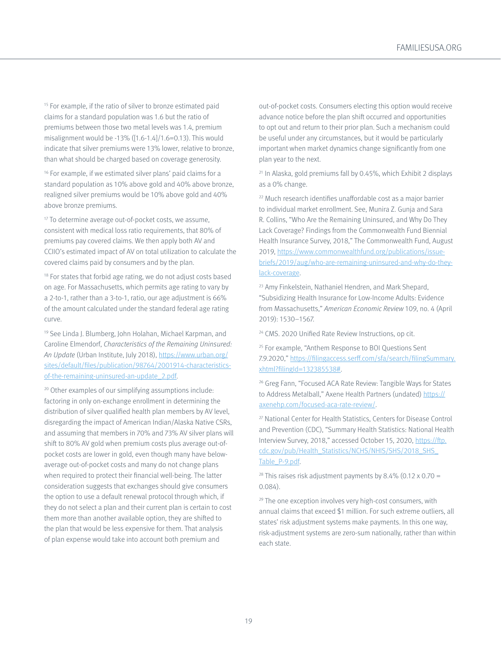<span id="page-18-0"></span><sup>[15](#page-2-0)</sup> For example, if the ratio of silver to bronze estimated paid claims for a standard population was 1.6 but the ratio of premiums between those two metal levels was 1.4, premium misalignment would be -13% ([1.6-1.4]/1.6=0.13). This would indicate that silver premiums were 13% lower, relative to bronze, than what should be charged based on coverage generosity.

<sup>[16](#page-2-0)</sup> For example, if we estimated silver plans' paid claims for a standard population as 10% above gold and 40% above bronze, realigned silver premiums would be 10% above gold and 40% above bronze premiums.

<sup>17</sup> To determine average out-of-pocket costs, we assume, consistent with medical loss ratio requirements, that 80% of premiums pay covered claims. We then apply both AV and CCIIO's estimated impact of AV on total utilization to calculate the covered claims paid by consumers and by the plan.

<sup>[18](#page-3-0)</sup> For states that forbid age rating, we do not adjust costs based on age. For Massachusetts, which permits age rating to vary by a 2-to-1, rather than a 3-to-1, ratio, our age adjustment is 66% of the amount calculated under the standard federal age rating curve.

19 See Linda J. Blumberg, John Holahan, Michael Karpman, and Caroline Elmendorf, Characteristics of the Remaining Uninsured: An Update (Urban Institute, July 2018), [https://www.urban.org/](https://www.urban.org/sites/default/files/publication/98764/2001914-characteristics-of-the-remaining-uninsured-an-update_2.pdf) [sites/default/files/publication/98764/2001914-characteristics](https://www.urban.org/sites/default/files/publication/98764/2001914-characteristics-of-the-remaining-uninsured-an-update_2.pdf)[of-the-remaining-uninsured-an-update\\_2.pdf.](https://www.urban.org/sites/default/files/publication/98764/2001914-characteristics-of-the-remaining-uninsured-an-update_2.pdf)

[20](#page-3-0) Other examples of our simplifying assumptions include: factoring in only on-exchange enrollment in determining the distribution of silver qualified health plan members by AV level, disregarding the impact of American Indian/Alaska Native CSRs, and assuming that members in 70% and 73% AV silver plans will shift to 80% AV gold when premium costs plus average out-ofpocket costs are lower in gold, even though many have belowaverage out-of-pocket costs and many do not change plans when required to protect their financial well-being. The latter consideration suggests that exchanges should give consumers the option to use a default renewal protocol through which, if they do not select a plan and their current plan is certain to cost them more than another available option, they are shifted to the plan that would be less expensive for them. That analysis of plan expense would take into account both premium and

out-of-pocket costs. Consumers electing this option would receive advance notice before the plan shift occurred and opportunities to opt out and return to their prior plan. Such a mechanism could be useful under any circumstances, but it would be particularly important when market dynamics change significantly from one plan year to the next.

[21](#page-4-0) In Alaska, gold premiums fall by 0.45%, which Exhibit 2 displays as a 0% change.

[22](#page-6-0) Much research identifies unaffordable cost as a major barrier to individual market enrollment. See, Munira Z. Gunja and Sara R. Collins, "Who Are the Remaining Uninsured, and Why Do They Lack Coverage? Findings from the Commonwealth Fund Biennial Health Insurance Survey, 2018," The Commonwealth Fund, August 2019, [https://www.commonwealthfund.org/publications/issue](https://www.commonwealthfund.org/publications/issue-briefs/2019/aug/who-are-remaining-uninsured-and-why-do-they-lack-coverage)[briefs/2019/aug/who-are-remaining-uninsured-and-why-do-they](https://www.commonwealthfund.org/publications/issue-briefs/2019/aug/who-are-remaining-uninsured-and-why-do-they-lack-coverage)[lack-coverage](https://www.commonwealthfund.org/publications/issue-briefs/2019/aug/who-are-remaining-uninsured-and-why-do-they-lack-coverage).

23 Amy Finkelstein, Nathaniel Hendren, and Mark Shepard, "Subsidizing Health Insurance for Low-Income Adults: Evidence from Massachusetts," American Economic Review 109, no. 4 (April 2019): 1530–1567.

[24](#page-6-0) CMS. 2020 Unified Rate Review Instructions, op cit.

<sup>25</sup> For example, "Anthem Response to BOI Questions Sent 7.9.2020," [https://filingaccess.serff.com/sfa/search/filingSummary.](https://filingaccess.serff.com/sfa/search/filingSummary.xhtml?filingId=132385538) [xhtml?filingId=132385538#](https://filingaccess.serff.com/sfa/search/filingSummary.xhtml?filingId=132385538).

<sup>26</sup> Greg Fann, "Focused ACA Rate Review: Tangible Ways for States to Address Metalball," Axene Health Partners (undated) [https://](https://axenehp.com/focused-aca-rate-review/) [axenehp.com/focused-aca-rate-review/.](https://axenehp.com/focused-aca-rate-review/)

[27](#page-7-0) National Center for Health Statistics, Centers for Disease Control and Prevention (CDC), "Summary Health Statistics: National Health Interview Survey, 2018," accessed October 15, 2020, [https://ftp.](https://ftp.cdc.gov/pub/Health_Statistics/NCHS/NHIS/SHS/2018_SHS_Table_P-9.pdf) [cdc.gov/pub/Health\\_Statistics/NCHS/NHIS/SHS/2018\\_SHS\\_](https://ftp.cdc.gov/pub/Health_Statistics/NCHS/NHIS/SHS/2018_SHS_Table_P-9.pdf) [Table\\_P-9.pdf](https://ftp.cdc.gov/pub/Health_Statistics/NCHS/NHIS/SHS/2018_SHS_Table_P-9.pdf).

<sup>28</sup> This raises risk adjustment payments by 8.4% (0.12 x 0.70 = 0.084).

<sup>29</sup> The one exception involves very high-cost consumers, with annual claims that exceed \$1 million. For such extreme outliers, all states' risk adjustment systems make payments. In this one way, risk-adjustment systems are zero-sum nationally, rather than within each state.